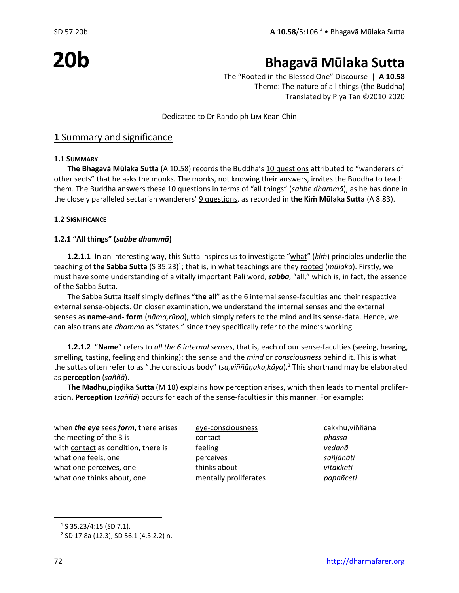# **20b**

## **Bhagavā Mūlaka Sutta**

The "Rooted in the Blessed One" Discourse | **A 10.58** Theme: The nature of all things (the Buddha) Translated by Piya Tan ©2010 2020

Dedicated to Dr Randolph LIM Kean Chin

#### **1** Summary and significance

#### **1.1 SUMMARY**

**The Bhagavā Mūlaka Sutta** (A 10.58) records the Buddha's 10 questions attributed to "wanderers of other sects" that he asks the monks. The monks, not knowing their answers, invites the Buddha to teach them. The Buddha answers these 10 questions in terms of "all things" (*sabbe dhammā*), as he has done in the closely paralleled sectarian wanderers' 9 questions, as recorded in **the Kiṁ Mūlaka Sutta** (A 8.83).

#### **1.2 SIGNIFICANCE**

#### **1.2.1 "All things" (***sabbe dhammā***)**

**1.2.1.1** In an interesting way, this Sutta inspires us to investigate "what" (*kiṁ*) principles underlie the teaching of **the Sabba Sutta** (S 35.23)<sup>1</sup>; that is, in what teachings are they <u>rooted</u> (*mūlaka*). Firstly, we must have some understanding of a vitally important Pali word, *sabba,* "all," which is, in fact, the essence of the Sabba Sutta.

The Sabba Sutta itself simply defines "**the all**" as the 6 internal sense-faculties and their respective external sense-objects. On closer examination, we understand the internal senses and the external senses as **name-and- form** (*nāma,rūpa*), which simply refers to the mind and its sense-data. Hence, we can also translate *dhamma* as "states," since they specifically refer to the mind's working.

**1.2.1.2** "**Name**" refers to *all the 6 internal senses*, that is, each of our sense-faculties (seeing, hearing, smelling, tasting, feeling and thinking): the sense and the *mind* or *consciousness* behind it. This is what the suttas often refer to as "the conscious body" (*sa,viññāṇaka,kāya*).<sup>2</sup> This shorthand may be elaborated as **perception** (*saññā*).

**The Madhu,piṇḍika Sutta** (M 18) explains how perception arises, which then leads to mental proliferation. **Perception** (*saññā*) occurs for each of the sense-faculties in this manner. For example:

| when <i>the eye</i> sees <i>form</i> , there arises | eye-consciousness     | cakkhu, viññāņa |
|-----------------------------------------------------|-----------------------|-----------------|
| the meeting of the 3 is                             | contact               | phassa          |
| with contact as condition, there is                 | feeling               | vedanā          |
| what one feels, one                                 | perceives             | sañjānāti       |
| what one perceives, one                             | thinks about          | vitakketi       |
| what one thinks about, one                          | mentally proliferates | papañceti       |
|                                                     |                       |                 |

<sup>&</sup>lt;sup>1</sup> S 35.23/4:15 (SD 7.1).

<sup>2</sup> SD 17.8a (12.3); SD 56.1 (4.3.2.2) n.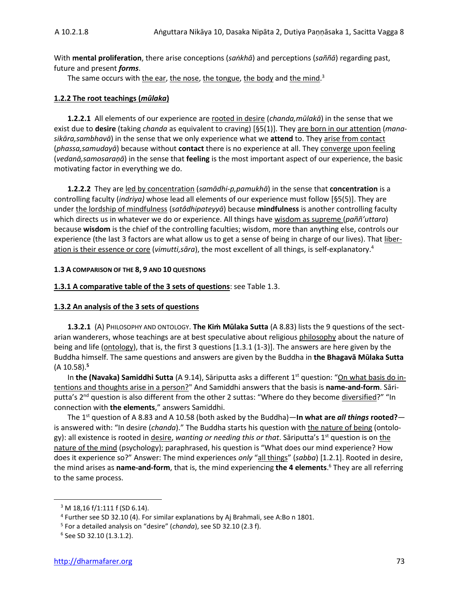With **mental proliferation**, there arise conceptions (*saṅkhā*) and perceptions (*saññā*) regarding past, future and present *forms*.

The same occurs with the ear, the nose, the tongue, the body and the mind.<sup>3</sup>

#### **1.2.2 The root teachings (***mūlaka***)**

**1.2.2.1** All elements of our experience are rooted in desire (*chanda,mūlakā*) in the sense that we exist due to **desire** (taking *chanda* as equivalent to craving) [§5(1)]. They are born in our attention (*manasikāra,sambhavā*) in the sense that we only experience what we **attend** to. They arise from contact (*phassa,samudayā*) because without **contact** there is no experience at all. They converge upon feeling (*vedanā,samosaraṇā*) in the sense that **feeling** is the most important aspect of our experience, the basic motivating factor in everything we do.

**1.2.2.2** They are led by concentration (*samādhi-p,pamukhā*) in the sense that **concentration** is a controlling faculty (*indriya)* whose lead all elements of our experience must follow [§5(5)]. They are under the lordship of mindfulness (*satâdhipateyyā*) because **mindfulness** is another controlling faculty which directs us in whatever we do or experience. All things have wisdom as supreme (*paññ'uttara*) because **wisdom** is the chief of the controlling faculties; wisdom, more than anything else, controls our experience (the last 3 factors are what allow us to get a sense of being in charge of our lives). That liberation is their essence or core (*vimutti,sāra*), the most excellent of all things, is self-explanatory.<sup>4</sup>

#### **1.3 A COMPARISON OF THE 8, 9 AND 10 QUESTIONS**

#### **1.3.1 A comparative table of the 3 sets of questions**: see Table 1.3.

#### **1.3.2 An analysis of the 3 sets of questions**

**1.3.2.1** (A) PHILOSOPHY AND ONTOLOGY. **The Kiṁ Mūlaka Sutta** (A 8.83) lists the 9 questions of the sectarian wanderers, whose teachings are at best speculative about religious philosophy about the nature of being and life (ontology), that is, the first 3 questions [1.3.1 (1-3)]. The answers are here given by the Buddha himself. The same questions and answers are given by the Buddha in **the Bhagavā Mūlaka Sutta** (A 10.58).**<sup>5</sup>**

In **the (Navaka) Samiddhi Sutta** (A 9.14), Sāriputta asks a different 1st question: "On what basis do intentions and thoughts arise in a person?" And Samiddhi answers that the basis is **name-and-form**. Sāriputta's 2<sup>nd</sup> question is also different from the other 2 suttas: "Where do they become diversified?" "In connection with **the elements**," answers Samiddhi.

The 1st question of A 8.83 and A 10.58 (both asked by the Buddha)—**In what are** *all things* **rooted?** is answered with: "In desire (*chanda*)." The Buddha starts his question with the nature of being (ontology): all existence is rooted in desire, *wanting or needing this or that*. Sāriputta's 1st question is on the nature of the mind (psychology); paraphrased, his question is "What does our mind experience? How does it experience so?" Answer: The mind experiences *only* "all things" (*sabba*) [1.2.1]. Rooted in desire, the mind arises as **name-and-form**, that is, the mind experiencing **the 4 elements**. <sup>6</sup> They are all referring to the same process.

<sup>3</sup> M 18,16 f/1:111 f (SD 6.14).

<sup>&</sup>lt;sup>4</sup> Further see SD 32.10 (4). For similar explanations by Aj Brahmali, see A:Bo n 1801.

<sup>5</sup> For a detailed analysis on "desire" (*chanda*), see SD 32.10 (2.3 f).

<sup>6</sup> See SD 32.10 (1.3.1.2).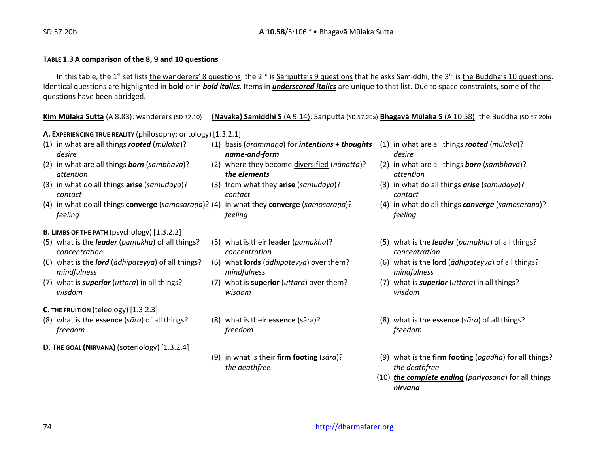#### **TABLE 1.3 A comparison of the 8, 9 and 10 questions**

In this table, the 1<sup>st</sup> set lists the wanderers' 8 questions; the 2<sup>nd</sup> is Sāriputta's 9 questions that he asks Samiddhi; the 3<sup>rd</sup> is the Buddha's 10 questions. Identical questions are highlighted in **bold** or in *bold italics.* Items in *underscored italics* are unique to that list. Due to space constraints, some of the questions have been abridged.

**Kiṁ Mūlaka Sutta** (A 8.83): wanderers (SD 32.10) **(Navaka) Samiddhi S** (A 9.14): Sāriputta (SD 57.20a) **Bhagavā Mūlaka S** (A 10.58): the Buddha (SD 57.20b)

**A. EXPERIENCING TRUE REALITY** (philosophy; ontology) [1.3.2.1]

- 
- 
- (3) in what do all things **arise** (*samudaya*)? (3) from what they **arise** (*samudaya*)? (3) in what do all things *arise* (*samudaya*)?
- (4) in what do all things **converge** (*samosaraṇa*)? (4) in what they **converge** (*samosaraṇa*)? (4) in what do all things *converge* (*samosaraṇa*)? *feeling feeling feeling*
- **B. LIMBS OF THE PATH** (psychology) [1.3.2.2]
- (5) what is the *leader* (*pamukha*) of all things? (5) what is their **leader** (*pamukha*)? (5) what is the *leader* (*pamukha*) of all things? *concentration concentration concentration*
- *mindfulness mindfulness mindfulness*
- (7) what is *superior* (*uttara*) in all things? (7) what is **superior** (*uttara*) over them? (7) what is *superior* (*uttara*) in all things?
- **C. THE FRUITION** (teleology) [1.3.2.3]
- *freedom freedom freedom*
- **D. THE GOAL (NIRVANA)** (soteriology) [1.3.2.4]
- (1) in what are all things *rooted* (*mūlaka*)? (1) basis (*ārammaṇa*) for *intentions + thoughts* (1) in what are all things *rooted* (*mūlaka*)? *desire name-and-form desire*
	- *attention the elements attention*
	- *contact contact contact*
		-
		-
		-
	- *wisdom wisdom wisdom*
		-
		- *the deathfree the deathfree*
- 
- (2) in what are all things *born* (*sambhava*)? (2) where they become diversified (*nānatta*)? (2) in what are all things *born* (*sambhava*)?
	-
	-
	-
- (6) what is the *lord* (*ādhipateyya*) of all things? (6) what **lords** (*ādhipateyya*) over them? (6) what is the **lord** (*ādhipateyya*) of all things?
	-
- (8) what is the **essence** (*sāra*) of all things? (8) what is their **essence** (sāra)? (8) what is the **essence** (*sāra*) of all things?
	- (9) in what is their **firm footing** (*sāra*)? (9) what is the **firm footing** (*ogadha*) for all things?
		- (10) *the complete ending* (*pariyosana*) for all things *nirvana*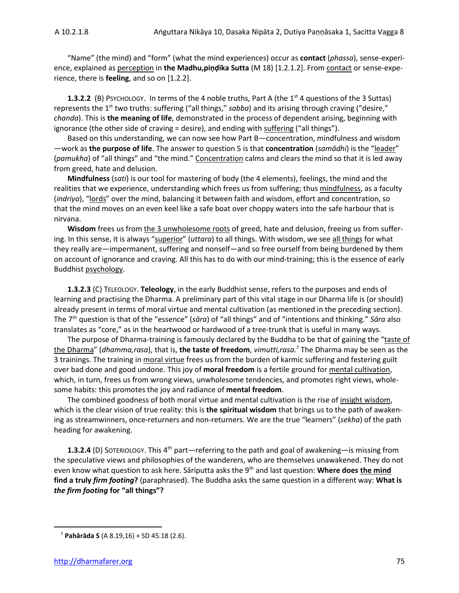"Name" (the mind) and "form" (what the mind experiences) occur as **contact** (*phassa*), sense-experience, explained as perception in the Madhu, pindika Sutta (M 18) [1.2.1.2]. From contact or sense-experience, there is **feeling**, and so on [1.2.2].

**1.3.2.2** (B) PSYCHOLOGY. In terms of the 4 noble truths, Part A (the 1<sup>st</sup> 4 questions of the 3 Suttas) represents the 1<sup>st</sup> two truths: suffering ("all things," *sabba*) and its arising through craving ("desire," *chanda*). This is **the meaning of life**, demonstrated in the process of dependent arising, beginning with ignorance (the other side of craving = desire), and ending with suffering ("all things").

Based on this understanding, we can now see how Part B—concentration, mindfulness and wisdom —work as **the purpose of life**. The answer to question 5 is that **concentration** (*samādhi*) is the "leader" (*pamukha*) of "all things" and "the mind." Concentration calms and clears the mind so that it is led away from greed, hate and delusion.

**Mindfulness** (*sati*) is our tool for mastering of body (the 4 elements), feelings, the mind and the realities that we experience, understanding which frees us from suffering; thus mindfulness, as a faculty (*indriya*), "lords" over the mind, balancing it between faith and wisdom, effort and concentration, so that the mind moves on an even keel like a safe boat over choppy waters into the safe harbour that is nirvana.

**Wisdom** frees us from the 3 unwholesome roots of greed, hate and delusion, freeing us from suffering. In this sense, it is always "superior" (*uttara*) to all things. With wisdom, we see all things for what they really are—impermanent, suffering and nonself—and so free ourself from being burdened by them on account of ignorance and craving. All this has to do with our mind-training; this is the essence of early Buddhist psychology.

**1.3.2.3** (C) TELEOLOGY. **Teleology**, in the early Buddhist sense, refers to the purposes and ends of learning and practising the Dharma. A preliminary part of this vital stage in our Dharma life is (or should) already present in terms of moral virtue and mental cultivation (as mentioned in the preceding section). The 7th question is that of the "essence" (*sāra*) of "all things" and of "intentions and thinking." *Sāra* also translates as "core," as in the heartwood or hardwood of a tree-trunk that is useful in many ways.

The purpose of Dharma-training is famously declared by the Buddha to be that of gaining the "taste of the Dharma" (*dhamma,rasa*), that is, **the taste of freedom**, *vimutti,rasa.*<sup>7</sup> The Dharma may be seen as the 3 trainings. The training in moral virtue frees us from the burden of karmic suffering and festering guilt over bad done and good undone. This joy of **moral freedom** is a fertile ground for mental cultivation, which, in turn, frees us from wrong views, unwholesome tendencies, and promotes right views, wholesome habits: this promotes the joy and radiance of **mental freedom**.

The combined goodness of both moral virtue and mental cultivation is the rise of insight wisdom, which is the clear vision of true reality: this is **the spiritual wisdom** that brings us to the path of awakening as streamwinners, once-returners and non-returners. We are the true "learners" (*sekha*) of the path heading for awakening.

1.3.2.4 (D) SOTERIOLOGY. This 4<sup>th</sup> part—referring to the path and goal of awakening—is missing from the speculative views and philosophies of the wanderers, who are themselves unawakened. They do not even know what question to ask here. Sāriputta asks the 9th and last question: **Where does the mind find a truly** *firm footing***?** (paraphrased). The Buddha asks the same question in a different way: **What is**  *the firm footing* **for "all things"?**

<sup>7</sup> **Pahārāda S** (A 8.19,16) + SD 45.18 (2.6).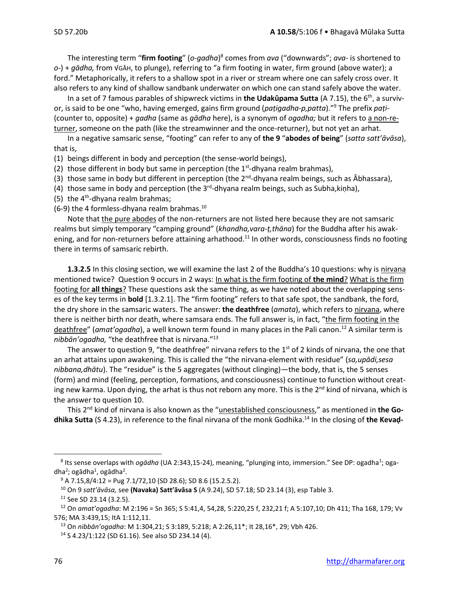The interesting term "**firm footing**" (*o-gadha*) 8 comes from *ava* ("downwards"; *ava-* is shortened to *o-*) + *gādha,* from √GĀH, to plunge), referring to "a firm footing in water, firm ground (above water); a ford." Metaphorically, it refers to a shallow spot in a river or stream where one can safely cross over. It also refers to any kind of shallow sandbank underwater on which one can stand safely above the water.

In a set of 7 famous parables of shipwreck victims in **the Udakûpama Sutta** (A 7.15), the 6th, a survivor, is said to be one "who, having emerged, gains firm ground (*paṭigadha-p,patta*)." <sup>9</sup> The prefix *paṭi-* (counter to, opposite) + *gadha* (same as *gādha* here), is a synonym of *ogadha;* but it refers to a non-returner, someone on the path (like the streamwinner and the once-returner), but not yet an arhat.

In a negative samsaric sense, "footing" can refer to any of **the 9** "**abodes of being**" (*satta satt'āvāsa*), that is,

(1) beings different in body and perception (the sense-world beings),

(2) those different in body but same in perception (the  $1<sup>st</sup>$ -dhyana realm brahmas),

(3) those same in body but different in perception (the  $2^{nd}$ -dhyana realm beings, such as Ābhassara),

(4) those same in body and perception (the 3<sup>rd</sup>-dhyana realm beings, such as Subha,kiṇha),

(5) the  $4<sup>th</sup>$ -dhyana realm brahmas;

(6-9) the 4 formless-dhyana realm brahmas.<sup>10</sup>

Note that the pure abodes of the non-returners are not listed here because they are not samsaric realms but simply temporary "camping ground" (*khandha,vara-ṭ,thāna*) for the Buddha after his awakening, and for non-returners before attaining arhathood.<sup>11</sup> In other words, consciousness finds no footing there in terms of samsaric rebirth.

**1.3.2.5** In this closing section, we will examine the last 2 of the Buddha's 10 questions: why is nirvana mentioned twice? Question 9 occurs in 2 ways: In what is the firm footing of **the mind**? What is the firm footing for **all things**? These questions ask the same thing, as we have noted about the overlapping senses of the key terms in **bold** [1.3.2.1]. The "firm footing" refers to that safe spot, the sandbank, the ford, the dry shore in the samsaric waters. The answer: **the deathfree** (*amata*), which refers to nirvana, where there is neither birth nor death, where samsara ends. The full answer is, in fact, "the firm footing in the deathfree" (*amat'ogadha*), a well known term found in many places in the Pali canon.<sup>12</sup> A similar term is *nibbān'ogadha,* "the deathfree that is nirvana."<sup>13</sup>

The answer to question 9, "the deathfree" nirvana refers to the  $1<sup>st</sup>$  of 2 kinds of nirvana, the one that an arhat attains upon awakening. This is called the "the nirvana-element with residue" (*sa,upādi,sesa nibbana,dhātu*). The "residue" is the 5 aggregates (without clinging)—the body, that is, the 5 senses (form) and mind (feeling, perception, formations, and consciousness) continue to function without creating new karma. Upon dying, the arhat is thus not reborn any more. This is the  $2^{nd}$  kind of nirvana, which is the answer to question 10.

This 2nd kind of nirvana is also known as the "unestablished consciousness," as mentioned in **the Godhika Sutta** (S 4.23), in reference to the final nirvana of the monk Godhika. <sup>14</sup> In the closing of **the Kevaḍ-**

<sup>&</sup>lt;sup>8</sup> Its sense overlaps with *ogādha* (UA 2:343,15-24), meaning, "plunging into, immersion." See DP: ogadha<sup>1</sup>; ogadha<sup>2</sup>; ogādha<sup>1</sup>, ogādha<sup>2</sup>.

 $9$  A 7.15,8/4:12 = Pug 7.1/72,10 (SD 28.6); SD 8.6 (15.2.5.2).

<sup>10</sup> On 9 *satt'āvāsa,* see **(Navaka) Satt'āvāsa S** (A 9.24), SD 57.18; SD 23.14 (3), esp Table 3.

<sup>11</sup> See SD 23.14 (3.2.5).

<sup>12</sup> On *amat'ogadha*: M 2:196 = Sn 365; S 5:41,4, 54,28, 5:220,25 f, 232,21 f; A 5:107,10; Dh 411; Tha 168, 179; Vv 576; MA 3:439,15; ItA 1:112,11.

<sup>13</sup> On *nibbān'ogadha*: M 1:304,21; S 3:189, 5:218; A 2:26,11\*; It 28,16\*, 29; Vbh 426.

<sup>14</sup> S 4.23/1:122 (SD 61.16). See also SD 234.14 (4).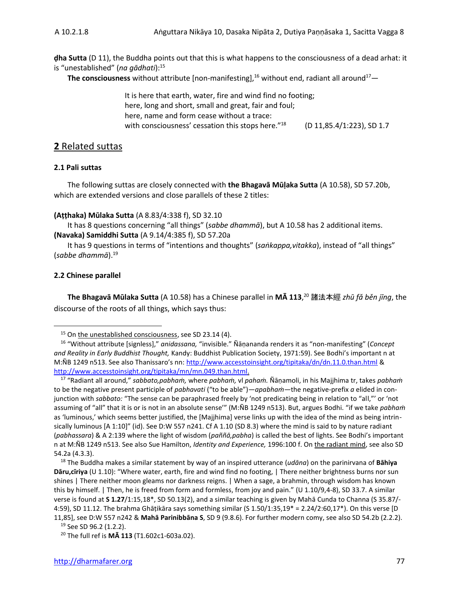**ḍha Sutta** (D 11), the Buddha points out that this is what happens to the consciousness of a dead arhat: it is "unestablished" (*na gādhati*): 15

**The consciousness** without attribute [non-manifesting],<sup>16</sup> without end, radiant all around<sup>17</sup>—

It is here that earth, water, fire and wind find no footing; here, long and short, small and great, fair and foul; here, name and form cease without a trace: with consciousness' cessation this stops here."<sup>18</sup> (D 11,85.4/1:223), SD 1.7

#### **2** Related suttas

#### **2.1 Pali suttas**

The following suttas are closely connected with **the Bhagavā Mūḷaka Sutta** (A 10.58), SD 57.20b, which are extended versions and close parallels of these 2 titles:

#### **(Aṭṭhaka) Mūlaka Sutta** (A 8.83/4:338 f), SD 32.10

It has 8 questions concerning "all things" (*sabbe dhammā*), but A 10.58 has 2 additional items. **(Navaka) Samiddhi Sutta** (A 9.14/4:385 f), SD 57.20a

It has 9 questions in terms of "intentions and thoughts" (*saṅkappa,vitakka*), instead of "all things" (*sabbe dhammā*). 19

#### **2.2 Chinese parallel**

**The Bhagavā Mūlaka Sutta** (A 10.58) has a Chinese parallel in **MĀ 113**, <sup>20</sup> 諸法本經 *zhū fǎ běn jīng*, the discourse of the roots of all things, which says thus:

<sup>&</sup>lt;sup>15</sup> On the unestablished consciousness, see SD 23.14 (4).

<sup>16</sup> "Without attribute [signless]," *anidassana,* "invisible." Ñāṇananda renders it as "non-manifesting" (*Concept and Reality in Early Buddhist Thought,* Kandy: Buddhist Publication Society, 1971:59). See Bodhi's important n at M:ÑB 1249 n513. See also Thanissaro's nn: <http://www.accesstoinsight.org/tipitaka/dn/dn.11.0.than.html> & [http://www.accesstoinsight.org/tipitaka/mn/mn.049.than.html.](http://www.accesstoinsight.org/tipitaka/mn/mn.049.than.html) 

<sup>17</sup> "Radiant all around," *sabbato,pabhaṁ,* where *pabhaṁ,* vl *pahaṁ.* Ñāṇamoli, in his Majjhima tr, takes *pabhaṁ* to be the negative present participle of *pabhavati* ("to be able")*—apabhaṁ—*the negative-prefix *a* elided in conjunction with *sabbato:* "The sense can be paraphrased freely by 'not predicating being in relation to "all,"' or 'not assuming of "all" that it is or is not in an absolute sense'" (M:ÑB 1249 n513). But, argues Bodhi. "if we take *pabhaṁ* as 'luminous,' which seems better justified, the [Majjhima] verse links up with the idea of the mind as being intrinsically luminous [A 1:10]" (id). See D:W 557 n241. Cf A 1.10 (SD 8.3) where the mind is said to by nature radiant (*pabhassara*) & A 2:139 where the light of wisdom (*paññā,pabha*) is called the best of lights. See Bodhi's important n at M:ÑB 1249 n513. See also Sue Hamilton, *Identity and Experience,* 1996:100 f. On the radiant mind, see also SD 54.2a (4.3.3).

<sup>18</sup> The Buddha makes a similar statement by way of an inspired utterance (*udāna*) on the parinirvana of **Bāhiya Dāru,cīriya** (U 1.10): "Where water, earth, fire and wind find no footing, | There neither brightness burns nor sun shines | There neither moon gleams nor darkness reigns. | When a sage, a brahmin, through wisdom has known this by himself. | Then, he is freed from form and formless, from joy and pain." (U 1.10/9,4-8), SD 33.7. A similar verse is found at **S 1.27**/1:15,18\*, SD 50.13(2), and a similar teaching is given by Mahā Cunda to Channa (S 35.87/- 4:59), SD 11.12. The brahma Ghāṭikāra says something similar (S 1.50/1:35,19\* = 2.24/2:60,17\*). On this verse [D 11,85], see D:W 557 n242 & **Mahā Parinibbāna S**, SD 9 (9.8.6). For further modern comy, see also SD 54.2b (2.2.2).

<sup>19</sup> See SD 96.2 (1.2.2).

<sup>20</sup> The full ref is **MĀ 113** (T1.602c1-603a.02).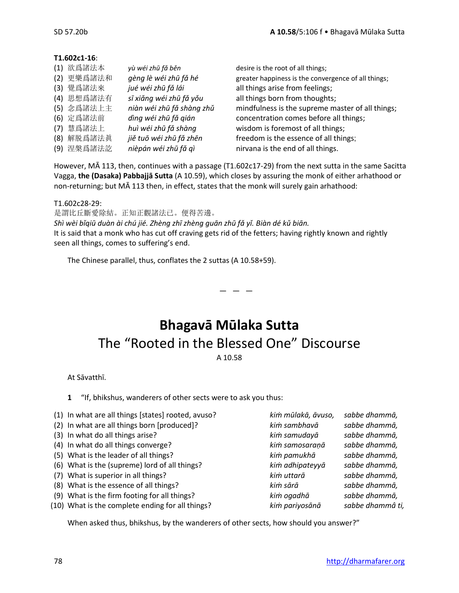#### **T1.602c1-16**:

|     | (1) 欲爲諸法本  | yù wéi zhū fǎ běn         |
|-----|------------|---------------------------|
| (2) | 更樂爲諸法和     | gèng lè wéi zhū fǎ hé     |
|     | (3) 覺爲諸法來  | jué wéi zhū fǎ lái        |
|     | (4) 思想爲諸法有 | sī xiǎng wéi zhū fǎ yǒu   |
|     | (5) 念爲諸法上主 | niàn wéi zhū fǎ shàng zhǔ |
|     | (6) 定爲諸法前  | dìng wéi zhū fǎ gián      |
|     | (7) 慧爲諸法上  | huì wéi zhū fǎ shàng      |
|     | (8) 解脱爲諸法眞 | jiě tuō wéi zhū fǎ zhēn   |
|     | (9) 涅槃爲諸法訖 | nièpán wéi zhū fǎ qì      |

desire is the root of all things; greater happiness is the convergence of all things; all things arise from feelings; all things born from thoughts; mindfulness is the supreme master of all things; concentration comes before all things; wisdom is foremost of all things; freedom is the essence of all things; nirvana is the end of all things.

However, MĀ 113, then, continues with a passage (T1.602c17-29) from the next sutta in the same Sacitta Vagga, **the (Dasaka) Pabbajjā Sutta** (A 10.59), which closes by assuring the monk of either arhathood or non-returning; but MĀ 113 then, in effect, states that the monk will surely gain arhathood:

#### T1.602c28-29:

是謂比丘斷愛除結。正知正觀諸法已。便得苦邊。

*Shì wèi bǐqiū duàn ài chú jié. Zhèng zhī zhèng guān zhū fǎ yǐ. Biàn dé kǔ biān.* It is said that a monk who has cut off craving gets rid of the fetters; having rightly known and rightly seen all things, comes to suffering's end.

The Chinese parallel, thus, conflates the 2 suttas (A 10.58+59).

### **Bhagavā Mūlaka Sutta** The "Rooted in the Blessed One" Discourse A 10.58

 $-$ 

At Sāvatthī.

**1** "If, bhikshus, wanderers of other sects were to ask you thus:

| (1) In what are all things [states] rooted, avuso? | kim mūlakā, āvuso, | sabbe dhammā,    |
|----------------------------------------------------|--------------------|------------------|
| (2) In what are all things born [produced]?        | kim sambhavā       | sabbe dhammā,    |
| (3) In what do all things arise?                   | kim samudayā       | sabbe dhammā,    |
| (4) In what do all things converge?                | kim samosaranā     | sabbe dhammā,    |
| (5) What is the leader of all things?              | kim pamukhā        | sabbe dhammā,    |
| (6) What is the (supreme) lord of all things?      | kim adhipateyyā    | sabbe dhammā,    |
| (7) What is superior in all things?                | kim uttarā         | sabbe dhammā,    |
| (8) What is the essence of all things?             | kim sārā           | sabbe dhammā,    |
| (9) What is the firm footing for all things?       | kim ogadhā         | sabbe dhammā,    |
| (10) What is the complete ending for all things?   | kim pariyosānā     | sabbe dhammâ ti, |

When asked thus, bhikshus, by the wanderers of other sects, how should you answer?"